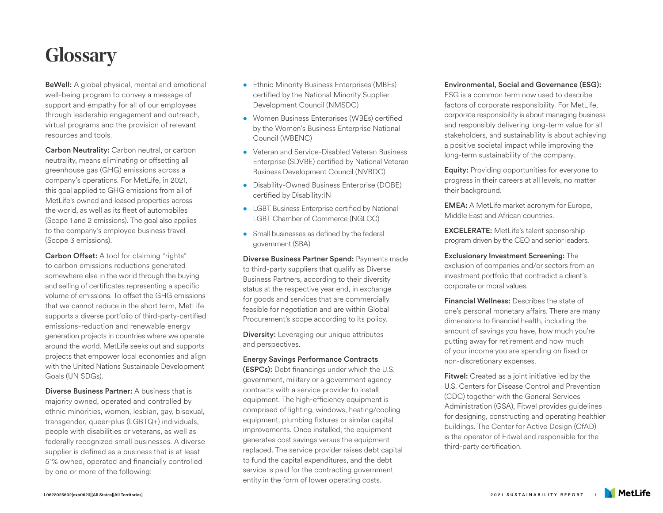# **Glossary**

BeWell: A global physical, mental and emotional well-being program to convey a message of support and empathy for all of our employees through leadership engagement and outreach, virtual programs and the provision of relevant resources and tools.

Carbon Neutrality: Carbon neutral, or carbon neutrality, means eliminating or offsetting all greenhouse gas (GHG) emissions across a company's operations. For MetLife, in 2021, this goal applied to GHG emissions from all of MetLife's owned and leased properties across the world, as well as its fleet of automobiles (Scope 1 and 2 emissions). The goal also applies to the company's employee business travel (Scope 3 emissions).

Carbon Offset: A tool for claiming "rights" to carbon emissions reductions generated somewhere else in the world through the buying and selling of certificates representing a specific volume of emissions. To offset the GHG emissions that we cannot reduce in the short term. MetLife supports a diverse portfolio of third-party-certified emissions-reduction and renewable energy generation projects in countries where we operate around the world. MetLife seeks out and supports projects that empower local economies and align with the United Nations Sustainable Development Goals (UN SDGs).

Diverse Business Partner: A business that is majority owned, operated and controlled by ethnic minorities, women, lesbian, gay, bisexual, transgender, queer-plus (LGBTQ+) individuals, people with disabilities or veterans, as well as federally recognized small businesses. A diverse supplier is defined as a business that is at least 51% owned, operated and financially controlled by one or more of the following:

- Ethnic Minority Business Enterprises (MBEs) certified by the National Minority Supplier Development Council (NMSDC)
- Women Business Enterprises (WBEs) certified by the Women's Business Enterprise National Council (WBENC)
- Veteran and Service-Disabled Veteran Business Enterprise (SDVBE) certified by National Veteran Business Development Council (NVBDC)
- Disability-Owned Business Enterprise (DOBE) certified by Disability:IN
- LGBT Business Enterprise certified by National LGBT Chamber of Commerce (NGLCC)
- Small businesses as defined by the federal government (SBA)

Diverse Business Partner Spend: Payments made to third-party suppliers that qualify as Diverse Business Partners, according to their diversity status at the respective year end, in exchange for goods and services that are commercially feasible for negotiation and are within Global Procurement's scope according to its policy.

**Diversity:** Leveraging our unique attributes and perspectives.

## Energy Savings Performance Contracts

(ESPCs): Debt financings under which the U.S. government, military or a government agency contracts with a service provider to install equipment. The high-efficiency equipment is comprised of lighting, windows, heating/cooling equipment, plumbing fixtures or similar capital improvements. Once installed, the equipment generates cost savings versus the equipment replaced. The service provider raises debt capital to fund the capital expenditures, and the debt service is paid for the contracting government entity in the form of lower operating costs.

# Environmental, Social and Governance (ESG):

ESG is a common term now used to describe factors of corporate responsibility. For MetLife, corporate responsibility is about managing business and responsibly delivering long-term value for all stakeholders, and sustainability is about achieving a positive societal impact while improving the long-term sustainability of the company.

Equity: Providing opportunities for everyone to progress in their careers at all levels, no matter their background.

EMEA: A MetLife market acronym for Europe, Middle East and African countries.

EXCELERATE: MetLife's talent sponsorship program driven by the CEO and senior leaders.

Exclusionary Investment Screening: The exclusion of companies and/or sectors from an investment portfolio that contradict a client's corporate or moral values.

Financial Wellness: Describes the state of one's personal monetary affairs. There are many dimensions to financial health, including the amount of savings you have, how much you're putting away for retirement and how much of your income you are spending on fixed or non-discretionary expenses.

**Fitwel:** Created as a joint initiative led by the U.S. Centers for Disease Control and Prevention (CDC) together with the General Services Administration (GSA), Fitwel provides guidelines for designing, constructing and operating healthier buildings. The Center for Active Design (CfAD) is the operator of Fitwel and responsible for the third-party certification.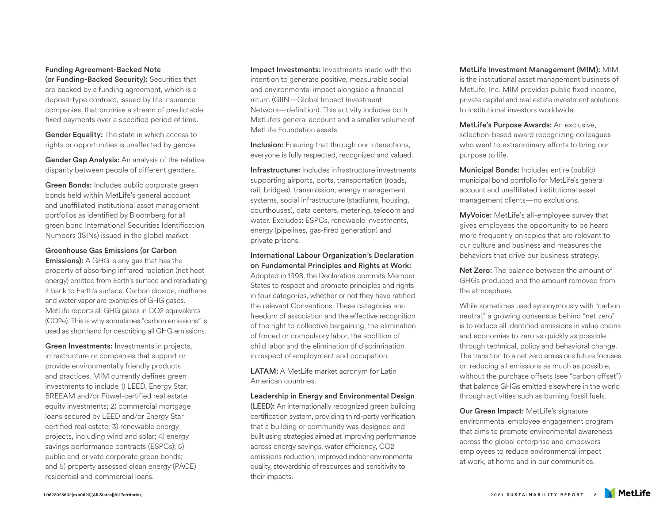## Funding Agreement-Backed Note

(or Funding-Backed Security): Securities that are backed by a funding agreement, which is a deposit-type contract, issued by life insurance companies, that promise a stream of predictable fixed payments over a specified period of time.

Gender Equality: The state in which access to rights or opportunities is unaffected by gender.

Gender Gap Analysis: An analysis of the relative disparity between people of different genders.

Green Bonds: Includes public corporate green bonds held within MetLife's general account and unaffiliated institutional asset management portfolios as identified by Bloomberg for all green bond International Securities Identification Numbers (ISINs) issued in the global market.

## Greenhouse Gas Emissions (or Carbon

Emissions): A GHG is any gas that has the property of absorbing infrared radiation (net heat energy) emitted from Earth's surface and reradiating it back to Earth's surface. Carbon dioxide, methane and water vapor are examples of GHG gases. MetLife reports all GHG gases in CO2 equivalents (CO2e). This is why sometimes "carbon emissions" is used as shorthand for describing all GHG emissions.

Green Investments: Investments in projects, infrastructure or companies that support or provide environmentally friendly products and practices. MIM currently defines green investments to include 1) LEED, Energy Star, BREEAM and/or Fitwel-certified real estate equity investments; 2) commercial mortgage loans secured by LEED and/or Energy Star certified real estate; 3) renewable energy projects, including wind and solar; 4) energy savings performance contracts (ESPCs); 5) public and private corporate green bonds; and 6) property assessed clean energy (PACE) residential and commercial loans.

Impact Investments: Investments made with the intention to generate positive, measurable social and environmental impact alongside a financial return (GIIN—Global Impact Investment Network—definition). This activity includes both MetLife's general account and a smaller volume of MetLife Foundation assets.

**Inclusion:** Ensuring that through our interactions. everyone is fully respected, recognized and valued.

Infrastructure: Includes infrastructure investments supporting airports, ports, transportation (roads, rail, bridges), transmission, energy management systems, social infrastructure (stadiums, housing, courthouses), data centers, metering, telecom and water. Excludes: ESPCs, renewable investments, energy (pipelines, gas-fired generation) and private prisons.

International Labour Organization's Declaration on Fundamental Principles and Rights at Work: Adopted in 1998, the Declaration commits Member States to respect and promote principles and rights in four categories, whether or not they have ratified the relevant Conventions. These categories are: freedom of association and the effective recognition of the right to collective bargaining, the elimination of forced or compulsory labor, the abolition of child labor and the elimination of discrimination in respect of employment and occupation.

LATAM: A MetLife market acronym for Latin American countries.

Leadership in Energy and Environmental Design (LEED): An internationally recognized green building certification system, providing third-party verification that a building or community was designed and built using strategies aimed at improving performance across energy savings, water efficiency, CO2 emissions reduction, improved indoor environmental quality, stewardship of resources and sensitivity to their impacts.

MetLife Investment Management (MIM): MIM is the institutional asset management business of MetLife. Inc. MIM provides public fixed income, private capital and real estate investment solutions to institutional investors worldwide.

MetLife's Purpose Awards: An exclusive, selection-based award recognizing colleagues who went to extraordinary efforts to bring our purpose to life.

Municipal Bonds: Includes entire (public) municipal bond portfolio for MetLife's general account and unaffiliated institutional asset management clients—no exclusions.

MyVoice: MetLife's all-employee survey that gives employees the opportunity to be heard more frequently on topics that are relevant to our culture and business and measures the behaviors that drive our business strategy.

Net Zero: The balance between the amount of GHGs produced and the amount removed from the atmosphere.

While sometimes used synonymously with "carbon neutral," a growing consensus behind "net zero" is to reduce all identified emissions in value chains and economies to zero as quickly as possible through technical, policy and behavioral change. The transition to a net zero emissions future focuses on reducing all emissions as much as possible, without the purchase offsets (see "carbon offset") that balance GHGs emitted elsewhere in the world through activities such as burning fossil fuels.

Our Green Impact: MetLife's signature environmental employee engagement program that aims to promote environmental awareness across the global enterprise and empowers employees to reduce environmental impact at work, at home and in our communities.